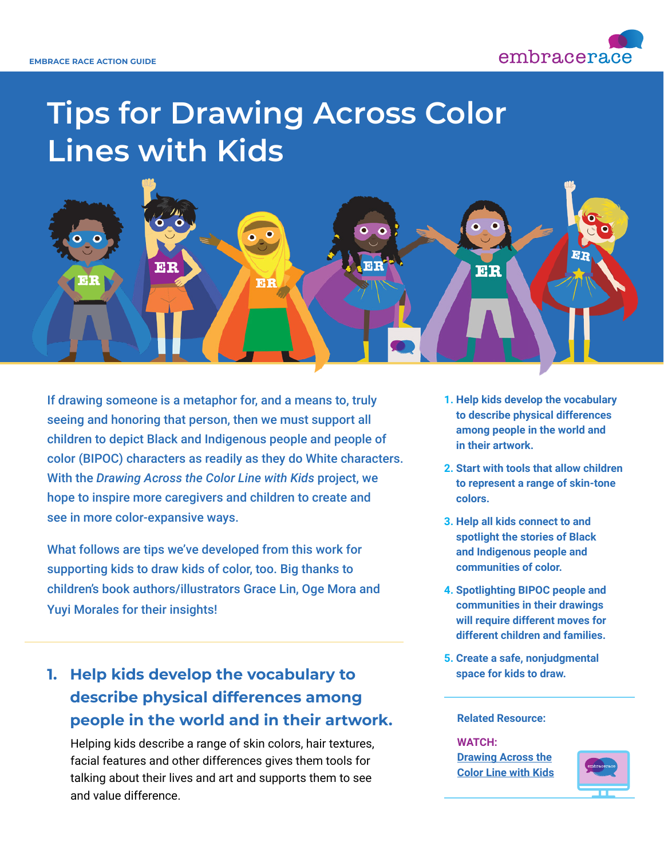

# **Tips for Drawing Across Color Lines with Kids**



If drawing someone is a metaphor for, and a means to, truly seeing and honoring that person, then we must support all children to depict Black and Indigenous people and people of color (BIPOC) characters as readily as they do White characters. With the *Drawing Across the Color Line with Kids* project, we hope to inspire more caregivers and children to create and see in more color-expansive ways.

What follows are tips we've developed from this work for supporting kids to draw kids of color, too. Big thanks to children's book authors/illustrators Grace Lin, Oge Mora and Yuyi Morales for their insights!

**1. Help kids develop the vocabulary to describe physical differences among people in the world and in their artwork.** 

 Helping kids describe a range of skin colors, hair textures, facial features and other differences gives them tools for talking about their lives and art and supports them to see and value difference.

- **1. Help kids develop the vocabulary to describe physical differences among people in the world and in their artwork.**
- **2. Start with tools that allow children to represent a range of skin-tone colors.**
- **3. Help all kids connect to and spotlight the stories of Black and Indigenous people and communities of color.**
- **4. Spotlighting BIPOC people and communities in their drawings will require different moves for different children and families.**
- **5. Create a safe, nonjudgmental space for kids to draw.**

#### **Related Resource:**

#### **WATCH:**

**[Drawing Across the](https://www.embracerace.org/resources/drawing-across-the-color-line-with-kids) [Color Line with Kids](https://www.embracerace.org/resources/drawing-across-the-color-line-with-kids)**

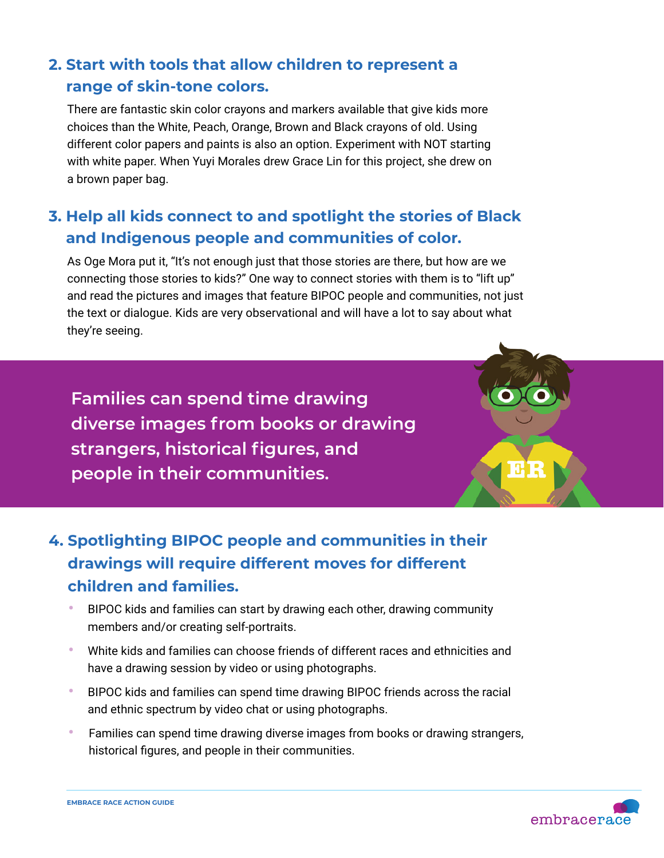### **2. Start with tools that allow children to represent a range of skin-tone colors.**

 There are fantastic skin color crayons and markers available that give kids more choices than the White, Peach, Orange, Brown and Black crayons of old. Using different color papers and paints is also an option. Experiment with NOT starting with white paper. When Yuyi Morales drew Grace Lin for this project, she drew on a brown paper bag.

### **3. Help all kids connect to and spotlight the stories of Black and Indigenous people and communities of color.**

 As Oge Mora put it, "It's not enough just that those stories are there, but how are we connecting those stories to kids?" One way to connect stories with them is to "lift up" and read the pictures and images that feature BIPOC people and communities, not just the text or dialogue. Kids are very observational and will have a lot to say about what they're seeing.

**Families can spend time drawing diverse images from books or drawing strangers, historical figures, and people in their communities.**

## **4. Spotlighting BIPOC people and communities in their drawings will require different moves for different children and families.**

- **•** BIPOC kids and families can start by drawing each other, drawing community members and/or creating self-portraits.
- **•** White kids and families can choose friends of different races and ethnicities and have a drawing session by video or using photographs.
- **•** BIPOC kids and families can spend time drawing BIPOC friends across the racial and ethnic spectrum by video chat or using photographs.
- **•** Families can spend time drawing diverse images from books or drawing strangers, historical figures, and people in their communities.